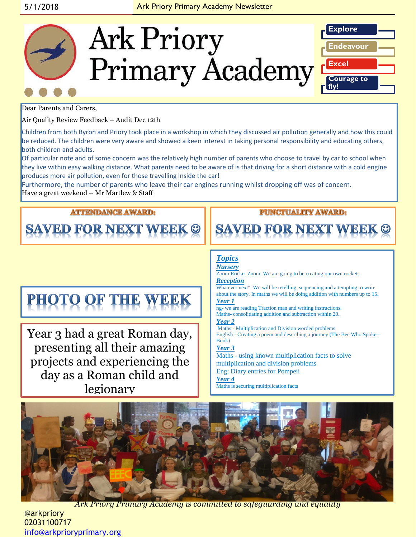

Dear Parents and Carers,

Air Quality Review Feedback – Audit Dec 12th

Children from both Byron and Priory took place in a workshop in which they discussed air pollution generally and how this could be reduced. The children were very aware and showed a keen interest in taking personal responsibility and educating others, both children and adults.

Of particular note and of some concern was the relatively high number of parents who choose to travel by car to school when they live within easy walking distance. What parents need to be aware of is that driving for a short distance with a cold engine produces more air pollution, even for those travelling inside the car!

Furthermore, the number of parents who leave their car engines running whilst dropping off was of concern. Have a great weekend – Mr Martlew & Staff

### **ATTENDANCE AWARD:**

**SAVED FOR NEXT WEEK ©** 

### **PUNCTUALITY AWARD:**

**SAVED FOR NEXT** 

# PHOTO OF THE WEEK

Year 3 had a great Roman day, presenting all their amazing projects and experiencing the day as a Roman child and legionary

#### *Topics Nursery* Zoom Rocket Zoom. We are going to be creating our own rockets *Reception*  Whatever next". We will be retelling, sequencing and attempting to write about the story. In maths we will be doing addition with numbers up to 15. *Year 1*  ng- we are reading Traction man and writing instructions. Maths- consolidating addition and subtraction within 20. *Year 2* Maths - Multiplication and Division worded problems English - Creating a poem and describing a journey (The Bee Who Spoke - Book) *Year 3* Maths - using known multiplication facts to solve multiplication and division problems Eng: Diary entries for Pompeii *Year 4* Maths is securing multiplication facts



*Ark Priory Primary Academy is committed to safeguarding and equality* 

@arkpriory 02031100717 [info@arkprioryprimary.org](mailto:info@arkprioryprimary.org)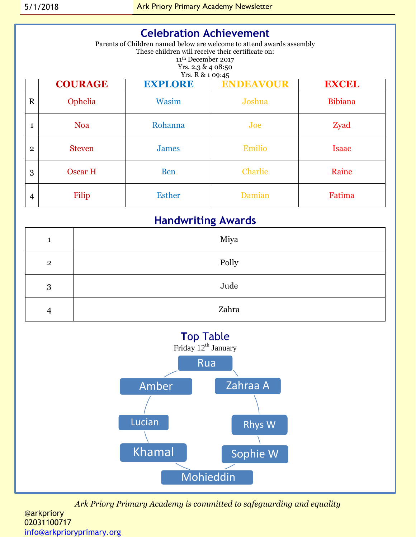| <b>Celebration Achievement</b><br>Parents of Children named below are welcome to attend awards assembly<br>These children will receive their certificate on:<br>11 <sup>th</sup> December 2017<br>Yrs. $2,3$ & $4$ 08:50<br>Yrs. R & 1 09:45 |                |                |                  |                |  |
|----------------------------------------------------------------------------------------------------------------------------------------------------------------------------------------------------------------------------------------------|----------------|----------------|------------------|----------------|--|
|                                                                                                                                                                                                                                              | <b>COURAGE</b> | <b>EXPLORE</b> | <b>ENDEAVOUR</b> | <b>EXCEL</b>   |  |
| $\mathbf R$                                                                                                                                                                                                                                  | Ophelia        | Wasim          | Joshua           | <b>Bibiana</b> |  |
| $\mathbf{1}$                                                                                                                                                                                                                                 | <b>Noa</b>     | Rohanna        | Joe              | Zyad           |  |
| $\overline{2}$                                                                                                                                                                                                                               | <b>Steven</b>  | <b>James</b>   | Emilio           | <b>Isaac</b>   |  |
| 3                                                                                                                                                                                                                                            | Oscar H        | <b>Ben</b>     | <b>Charlie</b>   | Raine          |  |
| $\overline{4}$                                                                                                                                                                                                                               | Filip          | <b>Esther</b>  | Damian           | Fatima         |  |

# **Handwriting Awards**

| 1              | Miya  |
|----------------|-------|
| $\overline{2}$ | Polly |
| 3              | Jude  |
| 4              | Zahra |



*Ark Priory Primary Academy is committed to safeguarding and equality*  @arkpriory 02031100717 [info@arkprioryprimary.org](mailto:info@arkprioryprimary.org)